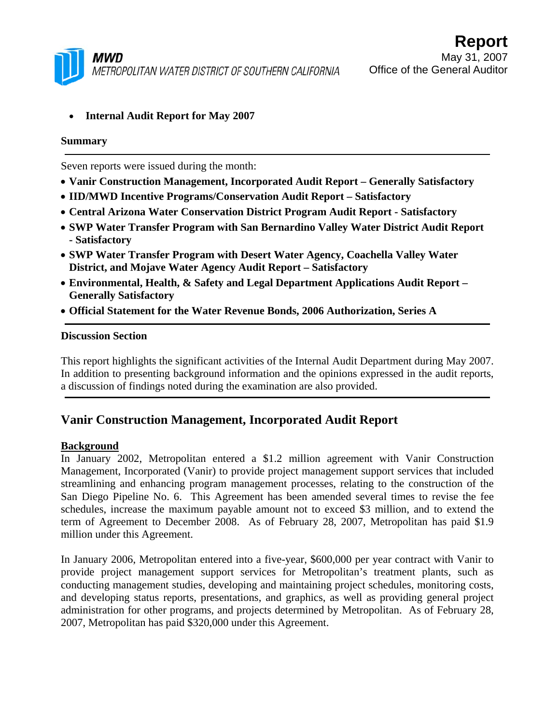

## • **Internal Audit Report for May 2007**

### **Summary**

Seven reports were issued during the month:

- **Vanir Construction Management, Incorporated Audit Report Generally Satisfactory**
- **IID/MWD Incentive Programs/Conservation Audit Report Satisfactory**
- **Central Arizona Water Conservation District Program Audit Report Satisfactory**
- **SWP Water Transfer Program with San Bernardino Valley Water District Audit Report - Satisfactory**
- **SWP Water Transfer Program with Desert Water Agency, Coachella Valley Water District, and Mojave Water Agency Audit Report – Satisfactory**
- **Environmental, Health, & Safety and Legal Department Applications Audit Report Generally Satisfactory**
- **Official Statement for the Water Revenue Bonds, 2006 Authorization, Series A**

#### **Discussion Section**

This report highlights the significant activities of the Internal Audit Department during May 2007. In addition to presenting background information and the opinions expressed in the audit reports, a discussion of findings noted during the examination are also provided.

# **Vanir Construction Management, Incorporated Audit Report**

### **Background**

In January 2002, Metropolitan entered a \$1.2 million agreement with Vanir Construction Management, Incorporated (Vanir) to provide project management support services that included streamlining and enhancing program management processes, relating to the construction of the San Diego Pipeline No. 6. This Agreement has been amended several times to revise the fee schedules, increase the maximum payable amount not to exceed \$3 million, and to extend the term of Agreement to December 2008. As of February 28, 2007, Metropolitan has paid \$1.9 million under this Agreement.

In January 2006, Metropolitan entered into a five-year, \$600,000 per year contract with Vanir to provide project management support services for Metropolitan's treatment plants, such as conducting management studies, developing and maintaining project schedules, monitoring costs, and developing status reports, presentations, and graphics, as well as providing general project administration for other programs, and projects determined by Metropolitan. As of February 28, 2007, Metropolitan has paid \$320,000 under this Agreement.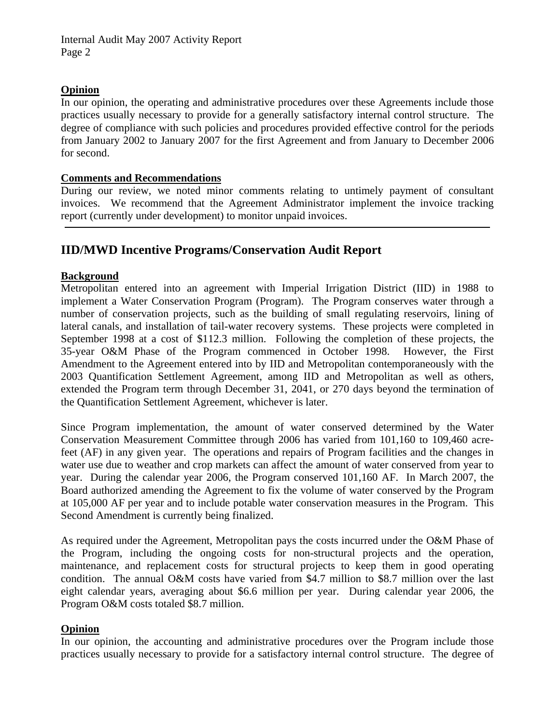### **Opinion**

In our opinion, the operating and administrative procedures over these Agreements include those practices usually necessary to provide for a generally satisfactory internal control structure. The degree of compliance with such policies and procedures provided effective control for the periods from January 2002 to January 2007 for the first Agreement and from January to December 2006 for second.

### **Comments and Recommendations**

During our review, we noted minor comments relating to untimely payment of consultant invoices. We recommend that the Agreement Administrator implement the invoice tracking report (currently under development) to monitor unpaid invoices.

# **IID/MWD Incentive Programs/Conservation Audit Report**

## **Background**

Metropolitan entered into an agreement with Imperial Irrigation District (IID) in 1988 to implement a Water Conservation Program (Program). The Program conserves water through a number of conservation projects, such as the building of small regulating reservoirs, lining of lateral canals, and installation of tail-water recovery systems. These projects were completed in September 1998 at a cost of \$112.3 million. Following the completion of these projects, the 35-year O&M Phase of the Program commenced in October 1998. However, the First Amendment to the Agreement entered into by IID and Metropolitan contemporaneously with the 2003 Quantification Settlement Agreement, among IID and Metropolitan as well as others, extended the Program term through December 31, 2041, or 270 days beyond the termination of the Quantification Settlement Agreement, whichever is later.

Since Program implementation, the amount of water conserved determined by the Water Conservation Measurement Committee through 2006 has varied from 101,160 to 109,460 acrefeet (AF) in any given year. The operations and repairs of Program facilities and the changes in water use due to weather and crop markets can affect the amount of water conserved from year to year. During the calendar year 2006, the Program conserved 101,160 AF. In March 2007, the Board authorized amending the Agreement to fix the volume of water conserved by the Program at 105,000 AF per year and to include potable water conservation measures in the Program. This Second Amendment is currently being finalized.

As required under the Agreement, Metropolitan pays the costs incurred under the O&M Phase of the Program, including the ongoing costs for non-structural projects and the operation, maintenance, and replacement costs for structural projects to keep them in good operating condition. The annual O&M costs have varied from \$4.7 million to \$8.7 million over the last eight calendar years, averaging about \$6.6 million per year. During calendar year 2006, the Program O&M costs totaled \$8.7 million.

## **Opinion**

In our opinion, the accounting and administrative procedures over the Program include those practices usually necessary to provide for a satisfactory internal control structure. The degree of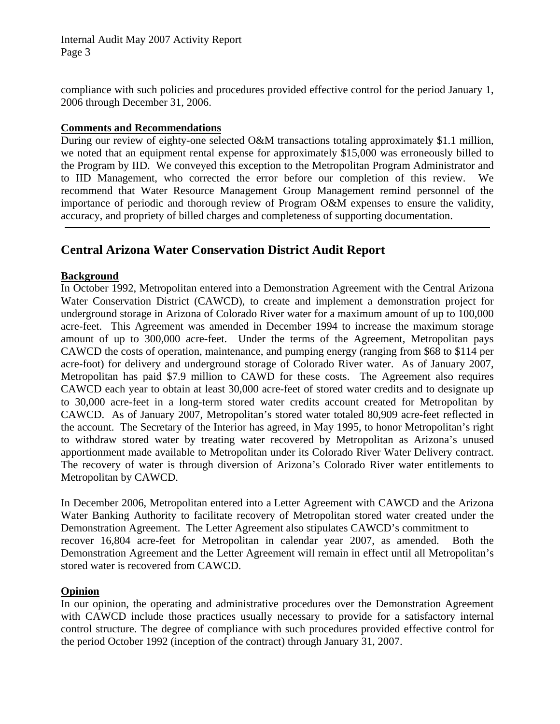Internal Audit May 2007 Activity Report Page 3

compliance with such policies and procedures provided effective control for the period January 1, 2006 through December 31, 2006.

### **Comments and Recommendations**

During our review of eighty-one selected O&M transactions totaling approximately \$1.1 million, we noted that an equipment rental expense for approximately \$15,000 was erroneously billed to the Program by IID. We conveyed this exception to the Metropolitan Program Administrator and to IID Management, who corrected the error before our completion of this review. We recommend that Water Resource Management Group Management remind personnel of the importance of periodic and thorough review of Program O&M expenses to ensure the validity, accuracy, and propriety of billed charges and completeness of supporting documentation.

## **Central Arizona Water Conservation District Audit Report**

### **Background**

In October 1992, Metropolitan entered into a Demonstration Agreement with the Central Arizona Water Conservation District (CAWCD), to create and implement a demonstration project for underground storage in Arizona of Colorado River water for a maximum amount of up to 100,000 acre-feet. This Agreement was amended in December 1994 to increase the maximum storage amount of up to 300,000 acre-feet. Under the terms of the Agreement, Metropolitan pays CAWCD the costs of operation, maintenance, and pumping energy (ranging from \$68 to \$114 per acre-foot) for delivery and underground storage of Colorado River water. As of January 2007, Metropolitan has paid \$7.9 million to CAWD for these costs. The Agreement also requires CAWCD each year to obtain at least 30,000 acre-feet of stored water credits and to designate up to 30,000 acre-feet in a long-term stored water credits account created for Metropolitan by CAWCD. As of January 2007, Metropolitan's stored water totaled 80,909 acre-feet reflected in the account. The Secretary of the Interior has agreed, in May 1995, to honor Metropolitan's right to withdraw stored water by treating water recovered by Metropolitan as Arizona's unused apportionment made available to Metropolitan under its Colorado River Water Delivery contract. The recovery of water is through diversion of Arizona's Colorado River water entitlements to Metropolitan by CAWCD.

In December 2006, Metropolitan entered into a Letter Agreement with CAWCD and the Arizona Water Banking Authority to facilitate recovery of Metropolitan stored water created under the Demonstration Agreement. The Letter Agreement also stipulates CAWCD's commitment to recover 16,804 acre-feet for Metropolitan in calendar year 2007, as amended. Both the Demonstration Agreement and the Letter Agreement will remain in effect until all Metropolitan's stored water is recovered from CAWCD.

### **Opinion**

In our opinion, the operating and administrative procedures over the Demonstration Agreement with CAWCD include those practices usually necessary to provide for a satisfactory internal control structure. The degree of compliance with such procedures provided effective control for the period October 1992 (inception of the contract) through January 31, 2007.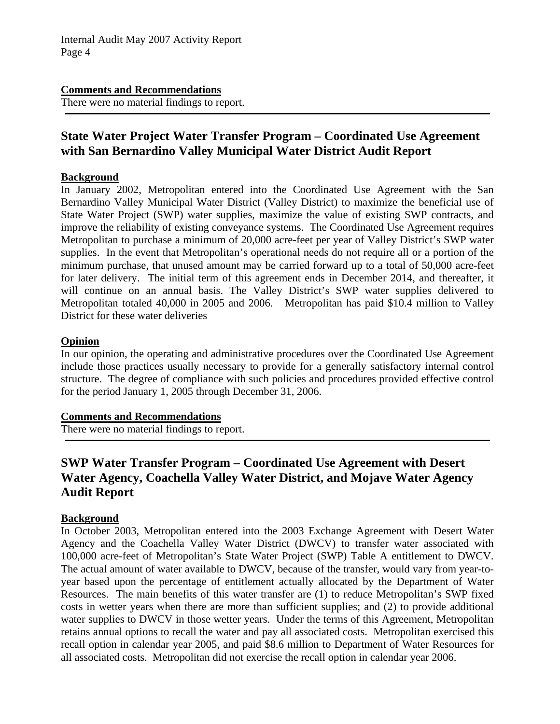### **Comments and Recommendations**

There were no material findings to report.

# **State Water Project Water Transfer Program – Coordinated Use Agreement with San Bernardino Valley Municipal Water District Audit Report**

### **Background**

In January 2002, Metropolitan entered into the Coordinated Use Agreement with the San Bernardino Valley Municipal Water District (Valley District) to maximize the beneficial use of State Water Project (SWP) water supplies, maximize the value of existing SWP contracts, and improve the reliability of existing conveyance systems. The Coordinated Use Agreement requires Metropolitan to purchase a minimum of 20,000 acre-feet per year of Valley District's SWP water supplies. In the event that Metropolitan's operational needs do not require all or a portion of the minimum purchase, that unused amount may be carried forward up to a total of 50,000 acre-feet for later delivery. The initial term of this agreement ends in December 2014, and thereafter, it will continue on an annual basis. The Valley District's SWP water supplies delivered to Metropolitan totaled 40,000 in 2005 and 2006. Metropolitan has paid \$10.4 million to Valley District for these water deliveries

### **Opinion**

In our opinion, the operating and administrative procedures over the Coordinated Use Agreement include those practices usually necessary to provide for a generally satisfactory internal control structure. The degree of compliance with such policies and procedures provided effective control for the period January 1, 2005 through December 31, 2006.

#### **Comments and Recommendations**

There were no material findings to report.

# **SWP Water Transfer Program – Coordinated Use Agreement with Desert Water Agency, Coachella Valley Water District, and Mojave Water Agency Audit Report**

### **Background**

In October 2003, Metropolitan entered into the 2003 Exchange Agreement with Desert Water Agency and the Coachella Valley Water District (DWCV) to transfer water associated with 100,000 acre-feet of Metropolitan's State Water Project (SWP) Table A entitlement to DWCV. The actual amount of water available to DWCV, because of the transfer, would vary from year-toyear based upon the percentage of entitlement actually allocated by the Department of Water Resources. The main benefits of this water transfer are (1) to reduce Metropolitan's SWP fixed costs in wetter years when there are more than sufficient supplies; and (2) to provide additional water supplies to DWCV in those wetter years. Under the terms of this Agreement, Metropolitan retains annual options to recall the water and pay all associated costs. Metropolitan exercised this recall option in calendar year 2005, and paid \$8.6 million to Department of Water Resources for all associated costs. Metropolitan did not exercise the recall option in calendar year 2006.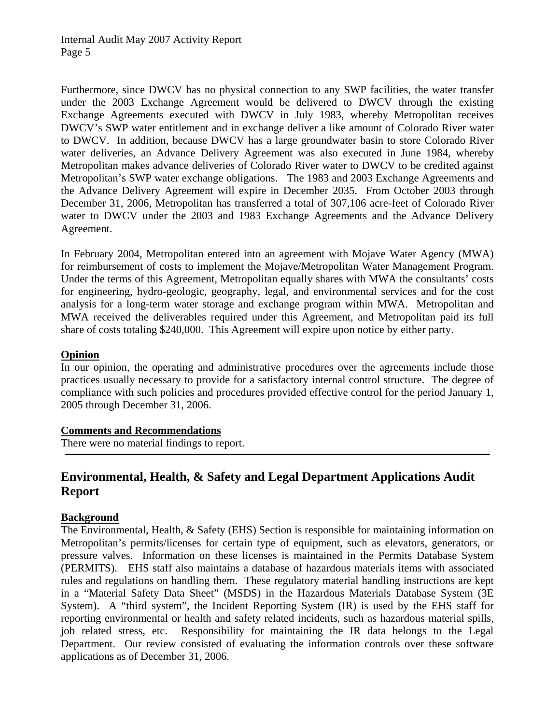Furthermore, since DWCV has no physical connection to any SWP facilities, the water transfer under the 2003 Exchange Agreement would be delivered to DWCV through the existing Exchange Agreements executed with DWCV in July 1983, whereby Metropolitan receives DWCV's SWP water entitlement and in exchange deliver a like amount of Colorado River water to DWCV. In addition, because DWCV has a large groundwater basin to store Colorado River water deliveries, an Advance Delivery Agreement was also executed in June 1984, whereby Metropolitan makes advance deliveries of Colorado River water to DWCV to be credited against Metropolitan's SWP water exchange obligations. The 1983 and 2003 Exchange Agreements and the Advance Delivery Agreement will expire in December 2035. From October 2003 through December 31, 2006, Metropolitan has transferred a total of 307,106 acre-feet of Colorado River water to DWCV under the 2003 and 1983 Exchange Agreements and the Advance Delivery Agreement.

In February 2004, Metropolitan entered into an agreement with Mojave Water Agency (MWA) for reimbursement of costs to implement the Mojave/Metropolitan Water Management Program. Under the terms of this Agreement, Metropolitan equally shares with MWA the consultants' costs for engineering, hydro-geologic, geography, legal, and environmental services and for the cost analysis for a long-term water storage and exchange program within MWA. Metropolitan and MWA received the deliverables required under this Agreement, and Metropolitan paid its full share of costs totaling \$240,000. This Agreement will expire upon notice by either party.

## **Opinion**

In our opinion, the operating and administrative procedures over the agreements include those practices usually necessary to provide for a satisfactory internal control structure. The degree of compliance with such policies and procedures provided effective control for the period January 1, 2005 through December 31, 2006.

### **Comments and Recommendations**

There were no material findings to report.

# **Environmental, Health, & Safety and Legal Department Applications Audit Report**

### **Background**

The Environmental, Health, & Safety (EHS) Section is responsible for maintaining information on Metropolitan's permits/licenses for certain type of equipment, such as elevators, generators, or pressure valves. Information on these licenses is maintained in the Permits Database System (PERMITS). EHS staff also maintains a database of hazardous materials items with associated rules and regulations on handling them. These regulatory material handling instructions are kept in a "Material Safety Data Sheet" (MSDS) in the Hazardous Materials Database System (3E System). A "third system", the Incident Reporting System (IR) is used by the EHS staff for reporting environmental or health and safety related incidents, such as hazardous material spills, job related stress, etc. Responsibility for maintaining the IR data belongs to the Legal Department. Our review consisted of evaluating the information controls over these software applications as of December 31, 2006.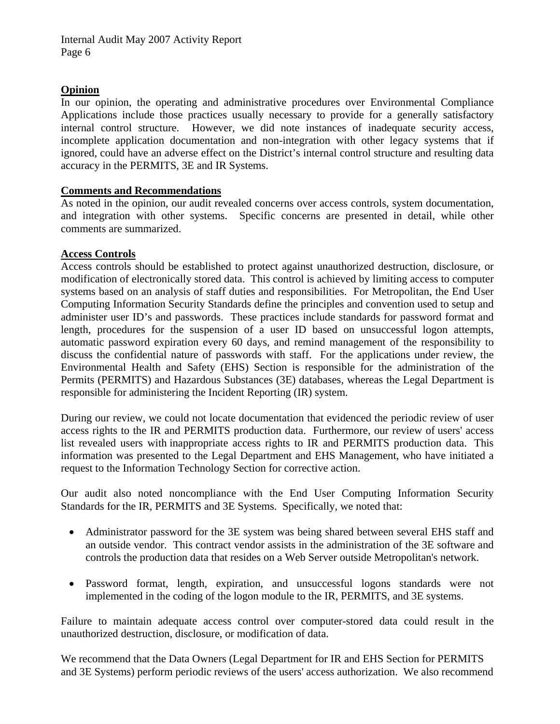### **Opinion**

In our opinion, the operating and administrative procedures over Environmental Compliance Applications include those practices usually necessary to provide for a generally satisfactory internal control structure. However, we did note instances of inadequate security access, incomplete application documentation and non-integration with other legacy systems that if ignored, could have an adverse effect on the District's internal control structure and resulting data accuracy in the PERMITS, 3E and IR Systems.

### **Comments and Recommendations**

As noted in the opinion, our audit revealed concerns over access controls, system documentation, and integration with other systems. Specific concerns are presented in detail, while other comments are summarized.

### **Access Controls**

Access controls should be established to protect against unauthorized destruction, disclosure, or modification of electronically stored data. This control is achieved by limiting access to computer systems based on an analysis of staff duties and responsibilities. For Metropolitan, the End User Computing Information Security Standards define the principles and convention used to setup and administer user ID's and passwords. These practices include standards for password format and length, procedures for the suspension of a user ID based on unsuccessful logon attempts, automatic password expiration every 60 days, and remind management of the responsibility to discuss the confidential nature of passwords with staff. For the applications under review, the Environmental Health and Safety (EHS) Section is responsible for the administration of the Permits (PERMITS) and Hazardous Substances (3E) databases, whereas the Legal Department is responsible for administering the Incident Reporting (IR) system.

During our review, we could not locate documentation that evidenced the periodic review of user access rights to the IR and PERMITS production data. Furthermore, our review of users' access list revealed users with inappropriate access rights to IR and PERMITS production data. This information was presented to the Legal Department and EHS Management, who have initiated a request to the Information Technology Section for corrective action.

Our audit also noted noncompliance with the End User Computing Information Security Standards for the IR, PERMITS and 3E Systems. Specifically, we noted that:

- Administrator password for the 3E system was being shared between several EHS staff and an outside vendor. This contract vendor assists in the administration of the 3E software and controls the production data that resides on a Web Server outside Metropolitan's network.
- Password format, length, expiration, and unsuccessful logons standards were not implemented in the coding of the logon module to the IR, PERMITS, and 3E systems.

Failure to maintain adequate access control over computer-stored data could result in the unauthorized destruction, disclosure, or modification of data.

We recommend that the Data Owners (Legal Department for IR and EHS Section for PERMITS and 3E Systems) perform periodic reviews of the users' access authorization. We also recommend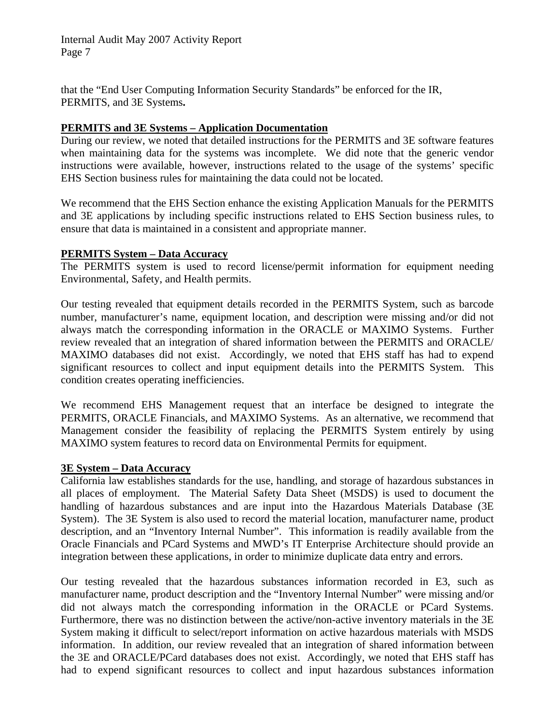Internal Audit May 2007 Activity Report Page 7

that the "End User Computing Information Security Standards" be enforced for the IR, PERMITS, and 3E Systems**.** 

### **PERMITS and 3E Systems – Application Documentation**

During our review, we noted that detailed instructions for the PERMITS and 3E software features when maintaining data for the systems was incomplete. We did note that the generic vendor instructions were available, however, instructions related to the usage of the systems' specific EHS Section business rules for maintaining the data could not be located.

We recommend that the EHS Section enhance the existing Application Manuals for the PERMITS and 3E applications by including specific instructions related to EHS Section business rules, to ensure that data is maintained in a consistent and appropriate manner.

### **PERMITS System – Data Accuracy**

The PERMITS system is used to record license/permit information for equipment needing Environmental, Safety, and Health permits.

Our testing revealed that equipment details recorded in the PERMITS System, such as barcode number, manufacturer's name, equipment location, and description were missing and/or did not always match the corresponding information in the ORACLE or MAXIMO Systems. Further review revealed that an integration of shared information between the PERMITS and ORACLE/ MAXIMO databases did not exist. Accordingly, we noted that EHS staff has had to expend significant resources to collect and input equipment details into the PERMITS System. This condition creates operating inefficiencies.

We recommend EHS Management request that an interface be designed to integrate the PERMITS, ORACLE Financials, and MAXIMO Systems. As an alternative, we recommend that Management consider the feasibility of replacing the PERMITS System entirely by using MAXIMO system features to record data on Environmental Permits for equipment.

#### **3E System – Data Accuracy**

California law establishes standards for the use, handling, and storage of hazardous substances in all places of employment. The Material Safety Data Sheet (MSDS) is used to document the handling of hazardous substances and are input into the Hazardous Materials Database (3E System). The 3E System is also used to record the material location, manufacturer name, product description, and an "Inventory Internal Number". This information is readily available from the Oracle Financials and PCard Systems and MWD's IT Enterprise Architecture should provide an integration between these applications, in order to minimize duplicate data entry and errors.

Our testing revealed that the hazardous substances information recorded in E3, such as manufacturer name, product description and the "Inventory Internal Number" were missing and/or did not always match the corresponding information in the ORACLE or PCard Systems. Furthermore, there was no distinction between the active/non-active inventory materials in the 3E System making it difficult to select/report information on active hazardous materials with MSDS information. In addition, our review revealed that an integration of shared information between the 3E and ORACLE/PCard databases does not exist. Accordingly, we noted that EHS staff has had to expend significant resources to collect and input hazardous substances information